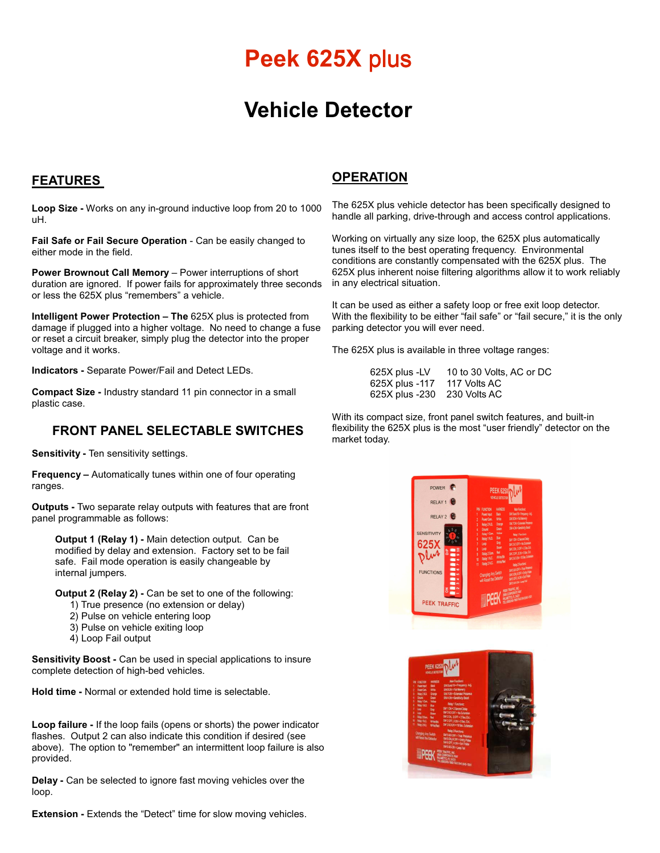# **Peek 625X plus**

## **Vehicle Detector**

### **FEATURES**

**Loop Size -** Works on any in-ground inductive loop from 20 to 1000 uH.

Fail Safe or Fail Secure Operation - Can be easily changed to either mode in the field.

**Power Brownout Call Memory** – Power interruptions of short duration are ignored. If power fails for approximately three seconds or less the 625X plus "remembers" a vehicle.

**Intelligent Power Protection – The** 625X plus is protected from damage if plugged into a higher voltage. No need to change a fuse or reset a circuit breaker, simply plug the detector into the proper voltage and it works.

**Indicators -** Separate Power/Fail and Detect LEDs.

**Compact Size -** Industry standard 11 pin connector in a small plastic case.

### **FRONT PANEL SELECTABLE SWITCHES**

**Sensitivity -** Ten sensitivity settings.

**Frequency –** Automatically tunes within one of four operating ranges.

**Outputs -** Two separate relay outputs with features that are front panel programmable as follows:

**Output 1 (Relay 1) -** Main detection output. Can be modified by delay and extension. Factory set to be fail safe. Fail mode operation is easily changeable by internal jumpers.

**Output 2 (Relay 2) -** Can be set to one of the following:

- 1) True presence (no extension or delay)
- 2) Pulse on vehicle entering loop
- 3) Pulse on vehicle exiting loop
- 4) Loop Fail output

**Sensitivity Boost -** Can be used in special applications to insure complete detection of high-bed vehicles.

**Hold time -** Normal or extended hold time is selectable.

**Loop failure -** If the loop fails (opens or shorts) the power indicator flashes. Output 2 can also indicate this condition if desired (see above). The option to "remember" an intermittent loop failure is also provided.

**Delay -** Can be selected to ignore fast moving vehicles over the loop.

**Extension -** Extends the "Detect" time for slow moving vehicles.

### **OPERATION**

The 625X plus vehicle detector has been specifically designed to handle all parking, drive-through and access control applications.

Working on virtually any size loop, the 625X plus automatically tunes itself to the best operating frequency. Environmental conditions are constantly compensated with the 625X plus.The 625X plus inherent noise filtering algorithms allow it to work reliably in any electrical situation.

It can be used as either a safety loop or free exit loop detector. With the flexibility to be either "fail safe" or "fail secure," it is the only parking detector you will ever need.

The 625X plus is available in three voltage ranges:

 625X plus -LV 10 to 30 Volts, AC or DC 625X plus -117 117 Volts AC 625X plus -230 230 Volts AC

With its compact size, front panel switch features, and built-in flexibility the 625X plus is the most "user friendly" detector on the market today.